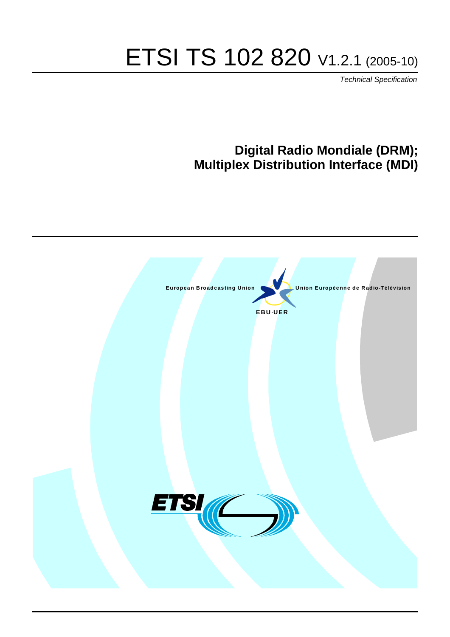# ETSI TS 102 820 V1.2.1 (2005-10)

Technical Specification

# **Digital Radio Mondiale (DRM); Multiplex Distribution Interface (MDI)**

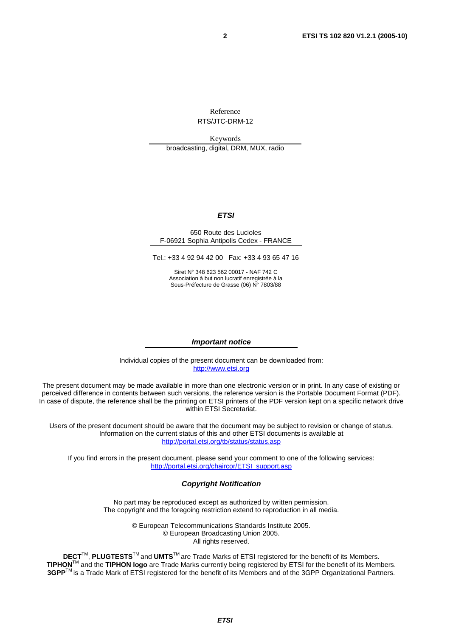Reference RTS/JTC-DRM-12

Keywords broadcasting, digital, DRM, MUX, radio

#### **ETSI**

#### 650 Route des Lucioles F-06921 Sophia Antipolis Cedex - FRANCE

[Tel.: +33 4 92 94 42](http://www.etsi.org/) 00 Fax: +33 4 93 65 47 16

Siret N° 348 623 562 00017 - NAF 742 C Association à but non lucratif enregistrée à la Sous-Préfecture de Grasse (06) N° 7803/88

#### **Important notice**

[Individual copies of the present document can](http://portal.etsi.org/chaircor/ETSI_support.asp) be downloaded from: http://www.etsi.org

The present document may be made available in more than one electronic version or in print. In any case of existing or perceived difference in contents between such versions, the reference version is the Portable Document Format (PDF). In case of dispute, the reference shall be the printing on ETSI printers of the PDF version kept on a specific network drive within ETSI Secretariat.

Users of the present document should be aware that the document may be subject to revision or change of status. Information on the current status of this and other ETSI documents is available at http://portal.etsi.org/tb/status/status.asp

If you find errors in the present document, please send your comment to one of the following services: http://portal.etsi.org/chaircor/ETSI\_support.asp

#### **Copyright Notification**

No part may be reproduced except as authorized by written permission. The copyright and the foregoing restriction extend to reproduction in all media.

> © European Telecommunications Standards Institute 2005. © European Broadcasting Union 2005. All rights reserved.

**DECT**TM, **PLUGTESTS**TM and **UMTS**TM are Trade Marks of ETSI registered for the benefit of its Members. **TIPHON**TM and the **TIPHON logo** are Trade Marks currently being registered by ETSI for the benefit of its Members. **3GPP**TM is a Trade Mark of ETSI registered for the benefit of its Members and of the 3GPP Organizational Partners.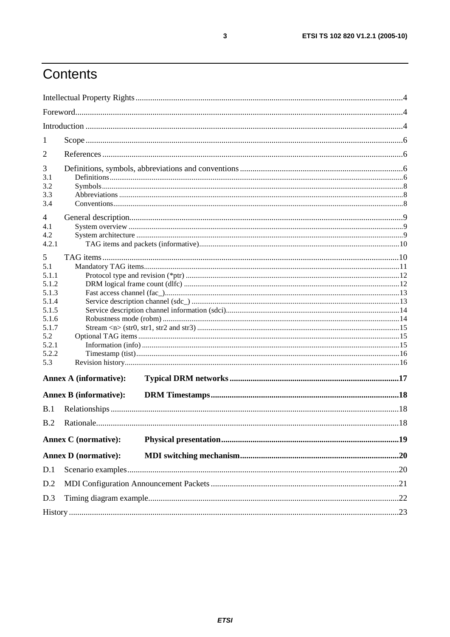# Contents

| 1                                                                                                       |                               |  |  |  |  |  |  |
|---------------------------------------------------------------------------------------------------------|-------------------------------|--|--|--|--|--|--|
| 2                                                                                                       |                               |  |  |  |  |  |  |
| 3<br>3.1<br>3.2<br>3.3<br>3.4                                                                           |                               |  |  |  |  |  |  |
| 4<br>4.1<br>4.2<br>4.2.1                                                                                |                               |  |  |  |  |  |  |
| 5<br>5.1<br>5.1.1<br>5.1.2<br>5.1.3<br>5.1.4<br>5.1.5<br>5.1.6<br>5.1.7<br>5.2<br>5.2.1<br>5.2.2<br>5.3 |                               |  |  |  |  |  |  |
|                                                                                                         | <b>Annex A (informative):</b> |  |  |  |  |  |  |
|                                                                                                         | <b>Annex B</b> (informative): |  |  |  |  |  |  |
| B.1                                                                                                     |                               |  |  |  |  |  |  |
| B.2                                                                                                     |                               |  |  |  |  |  |  |
|                                                                                                         | <b>Annex C</b> (normative):   |  |  |  |  |  |  |
|                                                                                                         | <b>Annex D</b> (normative):   |  |  |  |  |  |  |
| D.1                                                                                                     |                               |  |  |  |  |  |  |
| D.2                                                                                                     |                               |  |  |  |  |  |  |
| D.3                                                                                                     |                               |  |  |  |  |  |  |
|                                                                                                         |                               |  |  |  |  |  |  |

 $\mathbf{3}$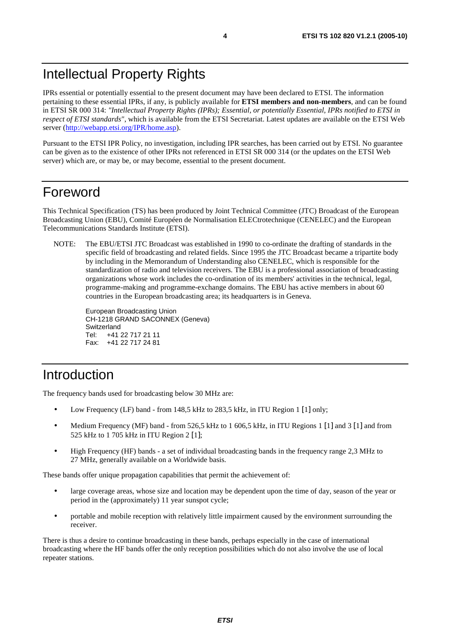IPRs essential or potentially essential to the present document may have been declared to ETSI. The information pertaining to these essential IPRs, if any, is publicly available for **ETSI members and non-members**, and can be found in ETSI SR 000 314: *"Intellectual Property Rights (IPRs); Essential, or potentially Essential, IPRs notified to ETSI in respect of ETSI standards"*, which is available from the ETSI Secretariat. Latest updates are available on the ETSI Web [server \(http://webapp.etsi.org/I](http://webapp.etsi.org/IPR/home.asp)PR/home.asp).

Pursuant to the ETSI IPR Policy, no investigation, including IPR searches, has been carried out by ETSI. No guarantee can be given as to the existence of other IPRs not referenced in ETSI SR 000 314 (or the updates on the ETSI Web server) which are, or may be, or may become, essential to the present document.

### Foreword

This Technical Specification (TS) has been produced by Joint Technical Committee (JTC) Broadcast of the European Broadcasting Union (EBU), Comité Européen de Normalisation ELECtrotechnique (CENELEC) and the European Telecommunications Standards Institute (ETSI).

NOTE: The EBU/ETSI JTC Broadcast was established in 1990 to co-ordinate the drafting of standards in the specific field of broadcasting and related fields. Since 1995 the JTC Broadcast became a tripartite body by including in the Memorandum of Understanding also CENELEC, which is responsible for the standardization of radio and television receivers. The EBU is a professional association of broadcasting organizations whose work includes the co-ordination of its members' activities in the technical, legal, programme-making and programme-exchange domains. The EBU has active members in about 60 countries in the European broadcasting area; its headquarters is in Geneva.

European Broadcasting Union CH-1218 GRAND SACONNEX (Geneva) Switzerland Tel: +41 22 717 21 11 Fax: +41 22 717 24 81

# Introduction

The frequency bands used for broadcasting below 30 MHz are:

- Low Frequency (LF) band from 148,5 kHz to 283,5 kHz, in ITU Region 1 [1] only;
- Medium Frequency (MF) band from 526,5 kHz to 1 606,5 kHz, in ITU Regions 1 [1] and 3 [1] and from 525 kHz to 1 705 kHz in ITU Region 2 [1];
- High Frequency (HF) bands a set of individual broadcasting bands in the frequency range 2,3 MHz to 27 MHz, generally available on a Worldwide basis.

These bands offer unique propagation capabilities that permit the achievement of:

- large coverage areas, whose size and location may be dependent upon the time of day, season of the year or period in the (approximately) 11 year sunspot cycle;
- portable and mobile reception with relatively little impairment caused by the environment surrounding the receiver.

There is thus a desire to continue broadcasting in these bands, perhaps especially in the case of international broadcasting where the HF bands offer the only reception possibilities which do not also involve the use of local repeater stations.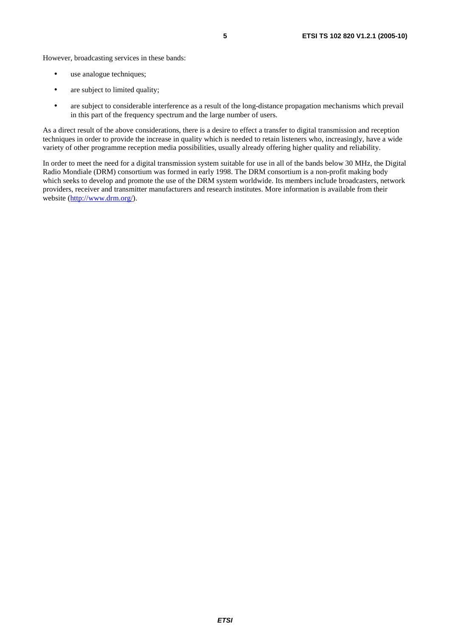However, broadcasting services in these bands:

- use analogue techniques;
- are subject to limited quality;
- are subject to considerable interference as a result of the long-distance propagation mechanisms which prevail in this part of the frequency spectrum and the large number of users.

As a direct result of the above considerations, there is a desire to effect a transfer to digital transmission and reception techniques in order to provide the increase in quality which is needed to retain listeners who, increasingly, have a wide variety of other programme reception media possibilities, usually already offering higher quality and reliability.

In order to meet the need for a digital transmission system suitable for use in all of the bands below 30 MHz, the Digital Radio Mondiale (DRM) consortium was formed in early 1998. The DRM consortium is a non-profit making body which seeks to develop and promote the use of the DRM system worldwide. Its members include broadcasters, network providers, receiver and transmitter manufacturers and research institutes. More information is available from their [website \(http://w](http://www.drm.org/)ww.drm.org/).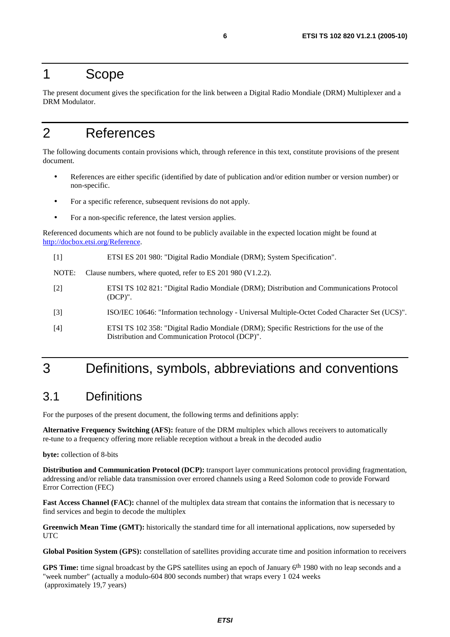### 1 Scope

The present document gives the specification for the link between a Digital Radio Mondiale (DRM) Multiplexer and a DRM Modulator.

# 2 References

The following documents contain provisions which, through reference in this text, constitute provisions of the present document.

- References are either specific (identified by date of publication and/or edition number or version number) or non-specific.
- For a specific reference, subsequent revisions do not apply.
- For a non-specific reference, the latest version applies.

Referenced documents which are not found to be publicly available in the expected location might be found at [http://docbox.etsi.](http://docbox.etsi.org/Reference)org/Reference.

[1] ETSI ES 201 980: "Digital Radio Mondiale (DRM); System Specification".

NOTE: Clause numbers, where quoted, refer to ES 201 980 (V1.2.2).

- [2] ETSI TS 102 821: "Digital Radio Mondiale (DRM); Distribution and Communications Protocol (DCP)".
- [3] ISO/IEC 10646: "Information technology Universal Multiple-Octet Coded Character Set (UCS)".
- [4] ETSI TS 102 358: "Digital Radio Mondiale (DRM); Specific Restrictions for the use of the Distribution and Communication Protocol (DCP)".

## 3 Definitions, symbols, abbreviations and conventions

### 3.1 Definitions

For the purposes of the present document, the following terms and definitions apply:

**Alternative Frequency Switching (AFS):** feature of the DRM multiplex which allows receivers to automatically re-tune to a frequency offering more reliable reception without a break in the decoded audio

**byte:** collection of 8-bits

**Distribution and Communication Protocol (DCP):** transport layer communications protocol providing fragmentation, addressing and/or reliable data transmission over errored channels using a Reed Solomon code to provide Forward Error Correction (FEC)

**Fast Access Channel (FAC):** channel of the multiplex data stream that contains the information that is necessary to find services and begin to decode the multiplex

**Greenwich Mean Time (GMT):** historically the standard time for all international applications, now superseded by **UTC** 

**Global Position System (GPS):** constellation of satellites providing accurate time and position information to receivers

**GPS Time:** time signal broadcast by the GPS satellites using an epoch of January 6th 1980 with no leap seconds and a "week number" (actually a modulo-604 800 seconds number) that wraps every 1 024 weeks (approximately 19,7 years)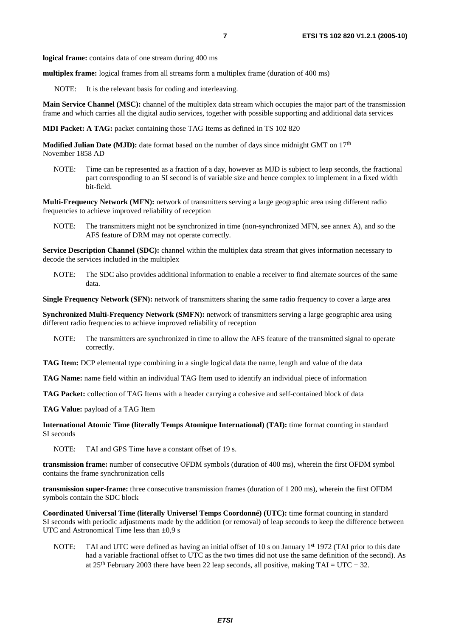**logical frame:** contains data of one stream during 400 ms

**multiplex frame:** logical frames from all streams form a multiplex frame (duration of 400 ms)

NOTE: It is the relevant basis for coding and interleaving.

**Main Service Channel (MSC):** channel of the multiplex data stream which occupies the major part of the transmission frame and which carries all the digital audio services, together with possible supporting and additional data services

**MDI Packet: A TAG:** packet containing those TAG Items as defined in TS 102 820

**Modified Julian Date (MJD):** date format based on the number of days since midnight GMT on 17<sup>th</sup> November 1858 AD

NOTE: Time can be represented as a fraction of a day, however as MJD is subject to leap seconds, the fractional part corresponding to an SI second is of variable size and hence complex to implement in a fixed width bit-field.

**Multi-Frequency Network (MFN):** network of transmitters serving a large geographic area using different radio frequencies to achieve improved reliability of reception

NOTE: The transmitters might not be synchronized in time (non-synchronized MFN, see annex A), and so the AFS feature of DRM may not operate correctly.

**Service Description Channel (SDC):** channel within the multiplex data stream that gives information necessary to decode the services included in the multiplex

NOTE: The SDC also provides additional information to enable a receiver to find alternate sources of the same data.

**Single Frequency Network (SFN):** network of transmitters sharing the same radio frequency to cover a large area

**Synchronized Multi-Frequency Network (SMFN):** network of transmitters serving a large geographic area using different radio frequencies to achieve improved reliability of reception

NOTE: The transmitters are synchronized in time to allow the AFS feature of the transmitted signal to operate correctly.

**TAG Item:** DCP elemental type combining in a single logical data the name, length and value of the data

**TAG Name:** name field within an individual TAG Item used to identify an individual piece of information

**TAG Packet:** collection of TAG Items with a header carrying a cohesive and self-contained block of data

**TAG Value:** payload of a TAG Item

**International Atomic Time (literally Temps Atomique International) (TAI):** time format counting in standard SI seconds

NOTE: TAI and GPS Time have a constant offset of 19 s.

**transmission frame:** number of consecutive OFDM symbols (duration of 400 ms), wherein the first OFDM symbol contains the frame synchronization cells

**transmission super-frame:** three consecutive transmission frames (duration of 1 200 ms), wherein the first OFDM symbols contain the SDC block

**Coordinated Universal Time (literally Universel Temps Coordonné) (UTC):** time format counting in standard SI seconds with periodic adjustments made by the addition (or removal) of leap seconds to keep the difference between UTC and Astronomical Time less than  $\pm 0.9$  s

NOTE: TAI and UTC were defined as having an initial offset of 10 s on January 1<sup>st</sup> 1972 (TAI prior to this date had a variable fractional offset to UTC as the two times did not use the same definition of the second). As at 25<sup>th</sup> February 2003 there have been 22 leap seconds, all positive, making  $TAI = UTC + 32$ .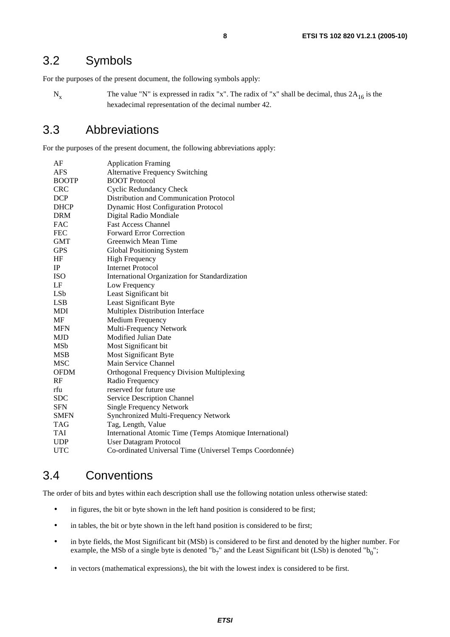### 3.2 Symbols

For the purposes of the present document, the following symbols apply:

 $N_x$  The value "N" is expressed in radix "x". The radix of "x" shall be decimal, thus  $2A_{16}$  is the hexadecimal representation of the decimal number 42.

### 3.3 Abbreviations

For the purposes of the present document, the following abbreviations apply:

| AF           | <b>Application Framing</b>                               |
|--------------|----------------------------------------------------------|
| <b>AFS</b>   | <b>Alternative Frequency Switching</b>                   |
| <b>BOOTP</b> | <b>BOOT Protocol</b>                                     |
| <b>CRC</b>   | <b>Cyclic Redundancy Check</b>                           |
| DCP          | Distribution and Communication Protocol                  |
| <b>DHCP</b>  | <b>Dynamic Host Configuration Protocol</b>               |
| <b>DRM</b>   | Digital Radio Mondiale                                   |
| <b>FAC</b>   | <b>Fast Access Channel</b>                               |
| <b>FEC</b>   | <b>Forward Error Correction</b>                          |
| <b>GMT</b>   | Greenwich Mean Time                                      |
| <b>GPS</b>   | Global Positioning System                                |
| HF           | <b>High Frequency</b>                                    |
| IP           | <b>Internet Protocol</b>                                 |
| <b>ISO</b>   | International Organization for Standardization           |
| LF           | Low Frequency                                            |
| LSb          | Least Significant bit                                    |
| <b>LSB</b>   | Least Significant Byte                                   |
| MDI          | Multiplex Distribution Interface                         |
| MF           | Medium Frequency                                         |
| <b>MFN</b>   | Multi-Frequency Network                                  |
| <b>MJD</b>   | Modified Julian Date                                     |
| MSb          | Most Significant bit                                     |
| <b>MSB</b>   | Most Significant Byte                                    |
| <b>MSC</b>   | Main Service Channel                                     |
| <b>OFDM</b>  | <b>Orthogonal Frequency Division Multiplexing</b>        |
| RF           | Radio Frequency                                          |
| rfu          | reserved for future use                                  |
| <b>SDC</b>   | Service Description Channel                              |
| <b>SFN</b>   | <b>Single Frequency Network</b>                          |
| <b>SMFN</b>  | Synchronized Multi-Frequency Network                     |
| TAG          | Tag, Length, Value                                       |
| <b>TAI</b>   | International Atomic Time (Temps Atomique International) |
| <b>UDP</b>   | User Datagram Protocol                                   |
| <b>UTC</b>   | Co-ordinated Universal Time (Universel Temps Coordonnée) |

### 3.4 Conventions

The order of bits and bytes within each description shall use the following notation unless otherwise stated:

- in figures, the bit or byte shown in the left hand position is considered to be first;
- in tables, the bit or byte shown in the left hand position is considered to be first;
- in byte fields, the Most Significant bit (MSb) is considered to be first and denoted by the higher number. For example, the MSb of a single byte is denoted "b<sub>7</sub>" and the Least Significant bit (LSb) is denoted "b<sub>0</sub>";
- in vectors (mathematical expressions), the bit with the lowest index is considered to be first.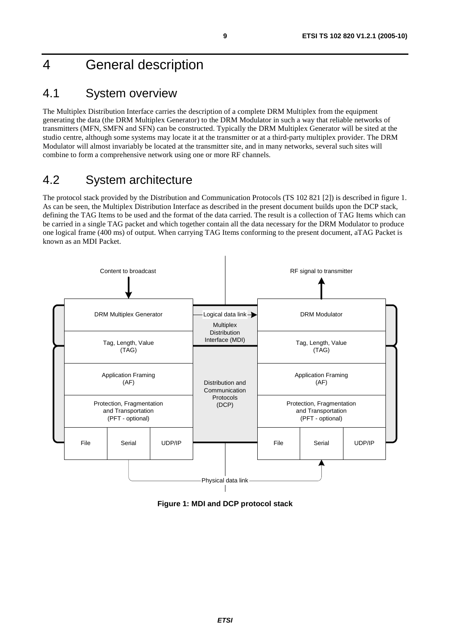# 4 General description

### 4.1 System overview

The Multiplex Distribution Interface carries the description of a complete DRM Multiplex from the equipment generating the data (the DRM Multiplex Generator) to the DRM Modulator in such a way that reliable networks of transmitters (MFN, SMFN and SFN) can be constructed. Typically the DRM Multiplex Generator will be sited at the studio centre, although some systems may locate it at the transmitter or at a third-party multiplex provider. The DRM Modulator will almost invariably be located at the transmitter site, and in many networks, several such sites will combine to form a comprehensive network using one or more RF channels.

### 4.2 System architecture

The protocol stack provided by the Distribution and Communication Protocols (TS 102 821 [2]) is described in figure 1. As can be seen, the Multiplex Distribution Interface as described in the present document builds upon the DCP stack, defining the TAG Items to be used and the format of the data carried. The result is a collection of TAG Items which can be carried in a single TAG packet and which together contain all the data necessary for the DRM Modulator to produce one logical frame (400 ms) of output. When carrying TAG Items conforming to the present document, aTAG Packet is known as an MDI Packet.



**Figure 1: MDI and DCP protocol stack**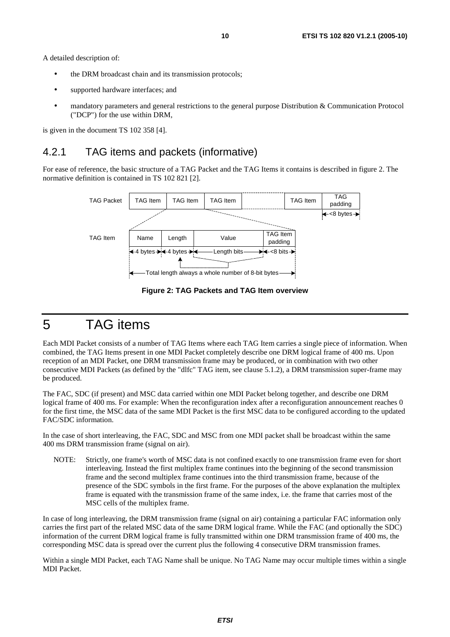A detailed description of:

- the DRM broadcast chain and its transmission protocols;
- supported hardware interfaces; and
- mandatory parameters and general restrictions to the general purpose Distribution & Communication Protocol ("DCP") for the use within DRM,

is given in the document TS 102 358 [4].

### 4.2.1 TAG items and packets (informative)

For ease of reference, the basic structure of a TAG Packet and the TAG Items it contains is described in figure 2. The normative definition is contained in TS 102 821 [2].



**Figure 2: TAG Packets and TAG Item overview** 

### 5 TAG items

Each MDI Packet consists of a number of TAG Items where each TAG Item carries a single piece of information. When combined, the TAG Items present in one MDI Packet completely describe one DRM logical frame of 400 ms. Upon reception of an MDI Packet, one DRM transmission frame may be produced, or in combination with two other consecutive MDI Packets (as defined by the "dlfc" TAG item, see clause 5.1.2), a DRM transmission super-frame may be produced.

The FAC, SDC (if present) and MSC data carried within one MDI Packet belong together, and describe one DRM logical frame of 400 ms. For example: When the reconfiguration index after a reconfiguration announcement reaches 0 for the first time, the MSC data of the same MDI Packet is the first MSC data to be configured according to the updated FAC/SDC information.

In the case of short interleaving, the FAC, SDC and MSC from one MDI packet shall be broadcast within the same 400 ms DRM transmission frame (signal on air).

NOTE: Strictly, one frame's worth of MSC data is not confined exactly to one transmission frame even for short interleaving. Instead the first multiplex frame continues into the beginning of the second transmission frame and the second multiplex frame continues into the third transmission frame, because of the presence of the SDC symbols in the first frame. For the purposes of the above explanation the multiplex frame is equated with the transmission frame of the same index, i.e. the frame that carries most of the MSC cells of the multiplex frame.

In case of long interleaving, the DRM transmission frame (signal on air) containing a particular FAC information only carries the first part of the related MSC data of the same DRM logical frame. While the FAC (and optionally the SDC) information of the current DRM logical frame is fully transmitted within one DRM transmission frame of 400 ms, the corresponding MSC data is spread over the current plus the following 4 consecutive DRM transmission frames.

Within a single MDI Packet, each TAG Name shall be unique. No TAG Name may occur multiple times within a single MDI Packet.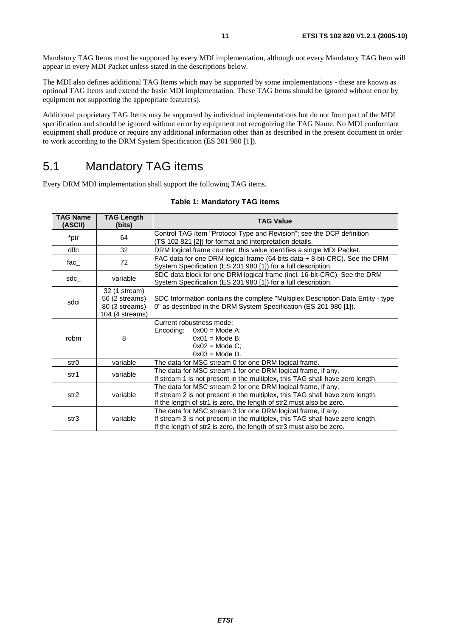Mandatory TAG Items must be supported by every MDI implementation, although not every Mandatory TAG Item will appear in every MDI Packet unless stated in the descriptions below.

The MDI also defines additional TAG Items which may be supported by some implementations - these are known as optional TAG Items and extend the basic MDI implementation. These TAG Items should be ignored without error by equipment not supporting the appropriate feature(s).

Additional proprietary TAG Items may be supported by individual implementations but do not form part of the MDI specification and should be ignored without error by equipment not recognizing the TAG Name. No MDI conformant equipment shall produce or require any additional information other than as described in the present document in order to work according to the DRM System Specification (ES 201 980 [1]).

### 5.1 Mandatory TAG items

Every DRM MDI implementation shall support the following TAG items.

| Table 1: Mandatory TAG items |  |  |  |
|------------------------------|--|--|--|
|------------------------------|--|--|--|

| <b>TAG Name</b><br>(ASCII) | <b>TAG Length</b><br>(bits)                                          | <b>TAG Value</b>                                                                                                                                                                                                      |
|----------------------------|----------------------------------------------------------------------|-----------------------------------------------------------------------------------------------------------------------------------------------------------------------------------------------------------------------|
| *ptr                       | 64                                                                   | Control TAG Item "Protocol Type and Revision"; see the DCP definition<br>(TS 102 821 [2]) for format and interpretation details.                                                                                      |
| dlfc                       | 32                                                                   | DRM logical frame counter: this value identifies a single MDI Packet.                                                                                                                                                 |
| fac_                       | 72                                                                   | FAC data for one DRM logical frame (64 bits data + 8-bit-CRC). See the DRM<br>System Specification (ES 201 980 [1]) for a full description.                                                                           |
| sdc_                       | variable                                                             | SDC data block for one DRM logical frame (incl. 16-bit-CRC). See the DRM<br>System Specification (ES 201 980 [1]) for a full description.                                                                             |
| sdci                       | 32 (1 stream)<br>56 (2 streams)<br>80 (3 streams)<br>104 (4 streams) | SDC Information contains the complete "Multiplex Description Data Entity - type<br>0" as described in the DRM System Specification (ES 201 980 [1]).                                                                  |
| robm                       | 8                                                                    | Current robustness mode;<br>Encoding:<br>$0x00 = Mode A;$<br>$0x01$ = Mode B;<br>$0x02$ = Mode C;<br>$0x03$ = Mode D.                                                                                                 |
| str0                       | variable                                                             | The data for MSC stream 0 for one DRM logical frame.                                                                                                                                                                  |
| str1                       | variable                                                             | The data for MSC stream 1 for one DRM logical frame, if any.<br>If stream 1 is not present in the multiplex, this TAG shall have zero length.                                                                         |
| str <sub>2</sub>           | variable                                                             | The data for MSC stream 2 for one DRM logical frame, if any.<br>If stream 2 is not present in the multiplex, this TAG shall have zero length.<br>If the length of str1 is zero, the length of str2 must also be zero. |
| str3                       | variable                                                             | The data for MSC stream 3 for one DRM logical frame, if any.<br>If stream 3 is not present in the multiplex, this TAG shall have zero length.<br>If the length of str2 is zero, the length of str3 must also be zero. |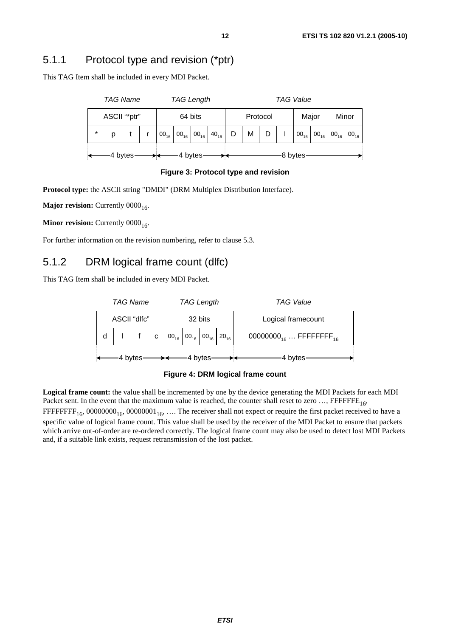### 5.1.1 Protocol type and revision (\*ptr)

This TAG Item shall be included in every MDI Packet.

| <b>TAG Name</b> |         |   | <b>TAG Length</b> |  |           |          | TAG Value                                                                      |  |   |       |  |       |           |  |                            |           |
|-----------------|---------|---|-------------------|--|-----------|----------|--------------------------------------------------------------------------------|--|---|-------|--|-------|-----------|--|----------------------------|-----------|
| ASCII "*ptr"    |         |   | 64 bits           |  |           | Protocol |                                                                                |  |   | Major |  | Minor |           |  |                            |           |
|                 | $\star$ | р |                   |  | $00_{16}$ |          | $\mid$ 00 <sub>16</sub> $\mid$ 00 <sub>16</sub> $\mid$ 40 <sub>16</sub> $\mid$ |  | D | M     |  |       | $00_{16}$ |  | $00_{16}$ 00 <sub>16</sub> | $00_{16}$ |
|                 | 4 bytes |   |                   |  |           |          | 4 bytes                                                                        |  |   |       |  |       | 8 bytes   |  |                            |           |

**Figure 3: Protocol type and revision** 

**Protocol type:** the ASCII string "DMDI" (DRM Multiplex Distribution Interface).

**Major revision:** Currently 0000<sub>16</sub>.

**Minor revision:** Currently  $0000_{16}$ .

For further information on the revision numbering, refer to clause 5.3.

#### 5.1.2 DRM logical frame count (dlfc)

This TAG Item shall be included in every MDI Packet.

| <b>TAG Name</b> |  |  |         | <b>TAG Length</b> |                                                              |                    | TAG Value                                      |
|-----------------|--|--|---------|-------------------|--------------------------------------------------------------|--------------------|------------------------------------------------|
| ASCII "dlfc"    |  |  | 32 bits |                   |                                                              | Logical framecount |                                                |
|                 |  |  | C       |                   | $00_{16}$ 00 <sub>16</sub> 00 <sub>16</sub> 20 <sub>16</sub> |                    | 00000000 <sub>16</sub> FFFFFFFFF <sub>16</sub> |
| 4 bytes         |  |  |         |                   | 4 bytes                                                      | 4 bytes            |                                                |

**Figure 4: DRM logical frame count** 

**Logical frame count:** the value shall be incremented by one by the device generating the MDI Packets for each MDI Packet sent. In the event that the maximum value is reached, the counter shall reset to zero  $...,$  FFFFFFE<sub>16</sub>, FFFFFFFF<sub>16</sub>, 00000000<sub>16</sub>, 00000001<sub>16</sub>, .... The receiver shall not expect or require the first packet received to have a specific value of logical frame count. This value shall be used by the receiver of the MDI Packet to ensure that packets which arrive out-of-order are re-ordered correctly. The logical frame count may also be used to detect lost MDI Packets and, if a suitable link exists, request retransmission of the lost packet.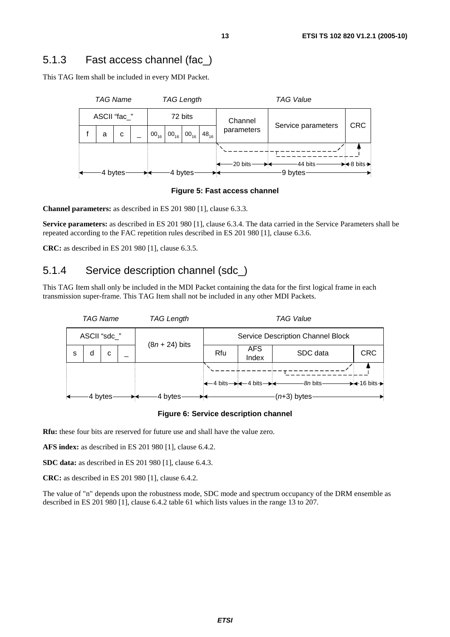### 5.1.3 Fast access channel (fac\_)

This TAG Item shall be included in every MDI Packet.





**Channel parameters:** as described in ES 201 980 [1], clause 6.3.3.

**Service parameters:** as described in ES 201 980 [1], clause 6.3.4. The data carried in the Service Parameters shall be repeated according to the FAC repetition rules described in ES 201 980 [1], clause 6.3.6.

**CRC:** as described in ES 201 980 [1], clause 6.3.5.

#### 5.1.4 Service description channel (sdc\_)

This TAG Item shall only be included in the MDI Packet containing the data for the first logical frame in each transmission super-frame. This TAG Item shall not be included in any other MDI Packets.



**Figure 6: Service description channel** 

**Rfu:** these four bits are reserved for future use and shall have the value zero.

**AFS index:** as described in ES 201 980 [1], clause 6.4.2.

**SDC data:** as described in ES 201 980 [1], clause 6.4.3.

**CRC:** as described in ES 201 980 [1], clause 6.4.2.

The value of "n" depends upon the robustness mode, SDC mode and spectrum occupancy of the DRM ensemble as described in ES 201 980 [1], clause 6.4.2 table 61 which lists values in the range 13 to 207.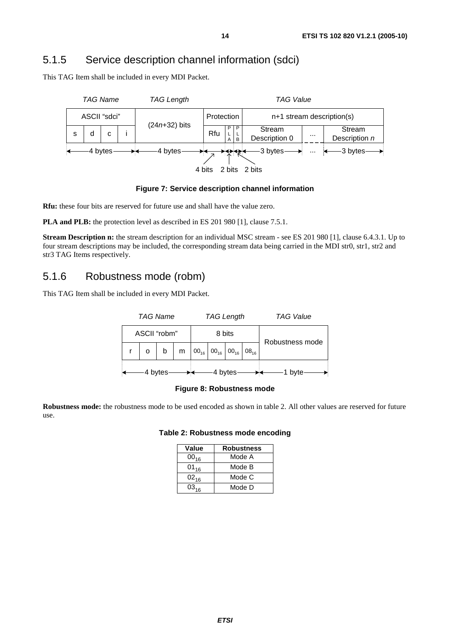### 5.1.5 Service description channel information (sdci)

This TAG Item shall be included in every MDI Packet.



**Figure 7: Service description channel information** 

**Rfu:** these four bits are reserved for future use and shall have the value zero.

**PLA and PLB:** the protection level as described in ES 201 980 [1], clause 7.5.1.

**Stream Description n:** the stream description for an individual MSC stream - see ES 201 980 [1], clause 6.4.3.1. Up to four stream descriptions may be included, the corresponding stream data being carried in the MDI str0, str1, str2 and str3 TAG Items respectively.

#### 5.1.6 Robustness mode (robm)

This TAG Item shall be included in every MDI Packet.





**Robustness mode:** the robustness mode to be used encoded as shown in table 2. All other values are reserved for future use.

#### **Table 2: Robustness mode encoding**

| Value     | <b>Robustness</b> |
|-----------|-------------------|
| $00_{16}$ | Mode A            |
| $01_{16}$ | Mode B            |
| $02_{16}$ | Mode C            |
| $03_{16}$ | Mode D            |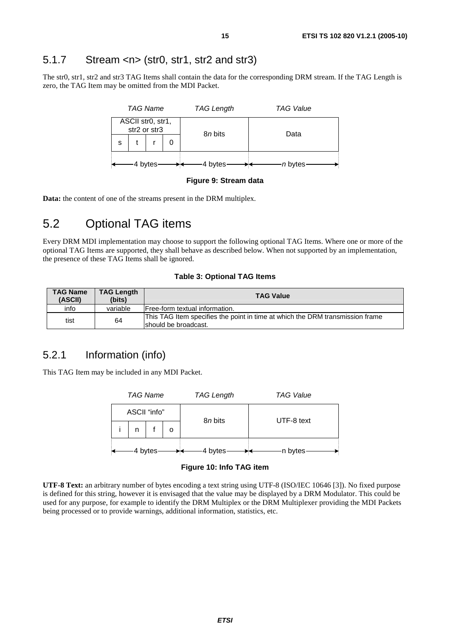### 5.1.7 Stream <n> (str0, str1, str2 and str3)

The str0, str1, str2 and str3 TAG Items shall contain the data for the corresponding DRM stream. If the TAG Length is zero, the TAG Item may be omitted from the MDI Packet.



**Figure 9: Stream data** 

**Data:** the content of one of the streams present in the DRM multiplex.

### 5.2 Optional TAG items

Every DRM MDI implementation may choose to support the following optional TAG Items. Where one or more of the optional TAG Items are supported, they shall behave as described below. When not supported by an implementation, the presence of these TAG Items shall be ignored.

#### **Table 3: Optional TAG Items**

| <b>TAG Name</b><br>(ASCII) | <b>TAG Length</b><br>(bits) | <b>TAG Value</b>                                                                                      |
|----------------------------|-----------------------------|-------------------------------------------------------------------------------------------------------|
| info                       | variable                    | Free-form textual information.                                                                        |
| tist                       | 64                          | This TAG Item specifies the point in time at which the DRM transmission frame<br>should be broadcast. |

#### 5.2.1 Information (info)

This TAG Item may be included in any MDI Packet.



**Figure 10: Info TAG item** 

**UTF-8 Text:** an arbitrary number of bytes encoding a text string using UTF-8 (ISO/IEC 10646 [3]). No fixed purpose is defined for this string, however it is envisaged that the value may be displayed by a DRM Modulator. This could be used for any purpose, for example to identify the DRM Multiplex or the DRM Multiplexer providing the MDI Packets being processed or to provide warnings, additional information, statistics, etc.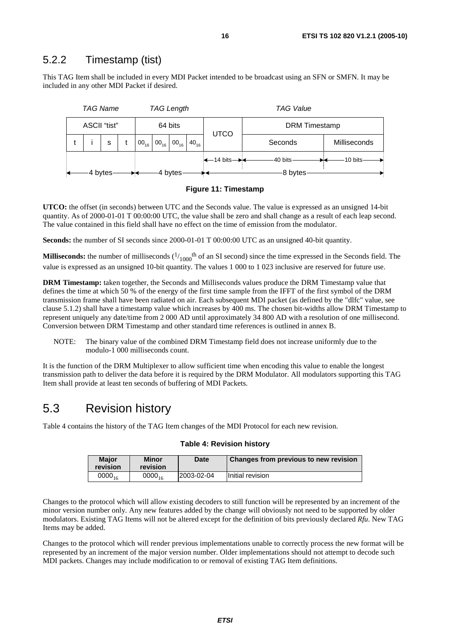#### 5.2.2 Timestamp (tist)

This TAG Item shall be included in every MDI Packet intended to be broadcast using an SFN or SMFN. It may be included in any other MDI Packet if desired.





**UTCO:** the offset (in seconds) between UTC and the Seconds value. The value is expressed as an unsigned 14-bit quantity. As of 2000-01-01 T 00:00:00 UTC, the value shall be zero and shall change as a result of each leap second. The value contained in this field shall have no effect on the time of emission from the modulator.

**Seconds:** the number of SI seconds since 2000-01-01 T 00:00:00 UTC as an unsigned 40-bit quantity.

**Milliseconds:** the number of milliseconds  $(1/1000$ <sup>th</sup> of an SI second) since the time expressed in the Seconds field. The value is expressed as an unsigned 10-bit quantity. The values 1 000 to 1 023 inclusive are reserved for future use.

**DRM Timestamp:** taken together, the Seconds and Milliseconds values produce the DRM Timestamp value that defines the time at which 50 % of the energy of the first time sample from the IFFT of the first symbol of the DRM transmission frame shall have been radiated on air. Each subsequent MDI packet (as defined by the "dlfc" value, see clause 5.1.2) shall have a timestamp value which increases by 400 ms. The chosen bit-widths allow DRM Timestamp to represent uniquely any date/time from 2 000 AD until approximately 34 800 AD with a resolution of one millisecond. Conversion between DRM Timestamp and other standard time references is outlined in annex B.

NOTE: The binary value of the combined DRM Timestamp field does not increase uniformly due to the modulo-1 000 milliseconds count.

It is the function of the DRM Multiplexer to allow sufficient time when encoding this value to enable the longest transmission path to deliver the data before it is required by the DRM Modulator. All modulators supporting this TAG Item shall provide at least ten seconds of buffering of MDI Packets.

### 5.3 Revision history

Table 4 contains the history of the TAG Item changes of the MDI Protocol for each new revision.

| <b>Maior</b><br>revision | Minor<br>revision | Date       | <b>Changes from previous to new revision</b> |
|--------------------------|-------------------|------------|----------------------------------------------|
| $0000_{16}$              | $0000_{16}$       | 2003-02-04 | Initial revision                             |

#### **Table 4: Revision history**

Changes to the protocol which will allow existing decoders to still function will be represented by an increment of the minor version number only. Any new features added by the change will obviously not need to be supported by older modulators. Existing TAG Items will not be altered except for the definition of bits previously declared *Rfu*. New TAG Items may be added.

Changes to the protocol which will render previous implementations unable to correctly process the new format will be represented by an increment of the major version number. Older implementations should not attempt to decode such MDI packets. Changes may include modification to or removal of existing TAG Item definitions.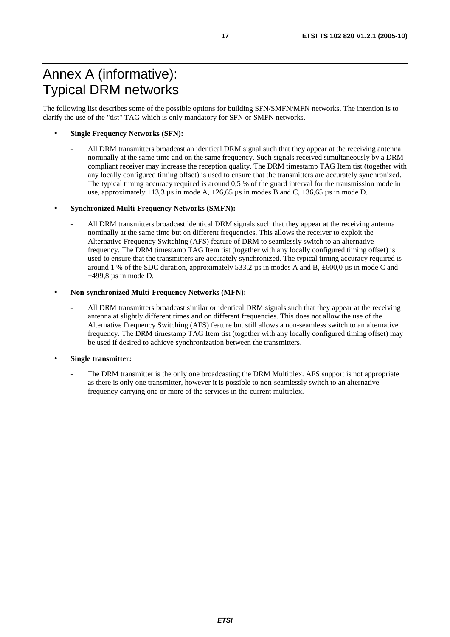# Annex A (informative): Typical DRM networks

The following list describes some of the possible options for building SFN/SMFN/MFN networks. The intention is to clarify the use of the "tist" TAG which is only mandatory for SFN or SMFN networks.

#### • **Single Frequency Networks (SFN):**

- All DRM transmitters broadcast an identical DRM signal such that they appear at the receiving antenna nominally at the same time and on the same frequency. Such signals received simultaneously by a DRM compliant receiver may increase the reception quality. The DRM timestamp TAG Item tist (together with any locally configured timing offset) is used to ensure that the transmitters are accurately synchronized. The typical timing accuracy required is around 0,5 % of the guard interval for the transmission mode in use, approximately  $\pm 13.3$  µs in mode A,  $\pm 26.65$  µs in modes B and C,  $\pm 36.65$  µs in mode D.

#### • **Synchronized Multi-Frequency Networks (SMFN):**

All DRM transmitters broadcast identical DRM signals such that they appear at the receiving antenna nominally at the same time but on different frequencies. This allows the receiver to exploit the Alternative Frequency Switching (AFS) feature of DRM to seamlessly switch to an alternative frequency. The DRM timestamp TAG Item tist (together with any locally configured timing offset) is used to ensure that the transmitters are accurately synchronized. The typical timing accuracy required is around 1 % of the SDC duration, approximately 533,2  $\mu$ s in modes A and B,  $\pm 600,0 \mu$ s in mode C and  $\pm$ 499,8 µs in mode D.

#### • **Non-synchronized Multi-Frequency Networks (MFN):**

All DRM transmitters broadcast similar or identical DRM signals such that they appear at the receiving antenna at slightly different times and on different frequencies. This does not allow the use of the Alternative Frequency Switching (AFS) feature but still allows a non-seamless switch to an alternative frequency. The DRM timestamp TAG Item tist (together with any locally configured timing offset) may be used if desired to achieve synchronization between the transmitters.

#### • **Single transmitter:**

The DRM transmitter is the only one broadcasting the DRM Multiplex. AFS support is not appropriate as there is only one transmitter, however it is possible to non-seamlessly switch to an alternative frequency carrying one or more of the services in the current multiplex.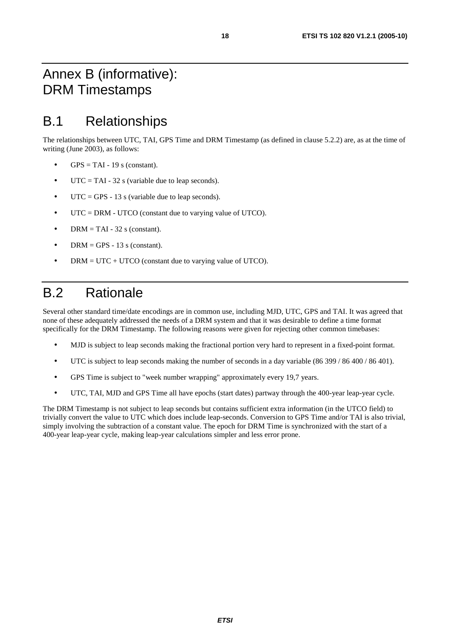# Annex B (informative): DRM Timestamps

# B.1 Relationships

The relationships between UTC, TAI, GPS Time and DRM Timestamp (as defined in clause 5.2.2) are, as at the time of writing (June 2003), as follows:

- $GPS = TAI 19$  s (constant).
- $UTC = TAI 32$  s (variable due to leap seconds).
- UTC = GPS 13 s (variable due to leap seconds).
- UTC = DRM UTCO (constant due to varying value of UTCO).
- DRM = TAI 32 s (constant).
- DRM = GPS 13 s (constant).
- $DRM = UTC + UTCO$  (constant due to varying value of UTCO).

# B.2 Rationale

Several other standard time/date encodings are in common use, including MJD, UTC, GPS and TAI. It was agreed that none of these adequately addressed the needs of a DRM system and that it was desirable to define a time format specifically for the DRM Timestamp. The following reasons were given for rejecting other common timebases:

- MJD is subject to leap seconds making the fractional portion very hard to represent in a fixed-point format.
- UTC is subject to leap seconds making the number of seconds in a day variable (86 399 / 86 400 / 86 401).
- GPS Time is subject to "week number wrapping" approximately every 19,7 years.
- UTC, TAI, MJD and GPS Time all have epochs (start dates) partway through the 400-year leap-year cycle.

The DRM Timestamp is not subject to leap seconds but contains sufficient extra information (in the UTCO field) to trivially convert the value to UTC which does include leap-seconds. Conversion to GPS Time and/or TAI is also trivial, simply involving the subtraction of a constant value. The epoch for DRM Time is synchronized with the start of a 400-year leap-year cycle, making leap-year calculations simpler and less error prone.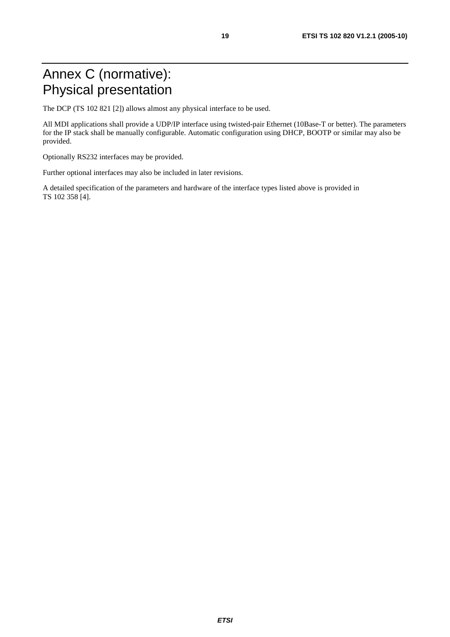# Annex C (normative): Physical presentation

The DCP (TS 102 821 [2]) allows almost any physical interface to be used.

All MDI applications shall provide a UDP/IP interface using twisted-pair Ethernet (10Base-T or better). The parameters for the IP stack shall be manually configurable. Automatic configuration using DHCP, BOOTP or similar may also be provided.

Optionally RS232 interfaces may be provided.

Further optional interfaces may also be included in later revisions.

A detailed specification of the parameters and hardware of the interface types listed above is provided in TS 102 358 [4].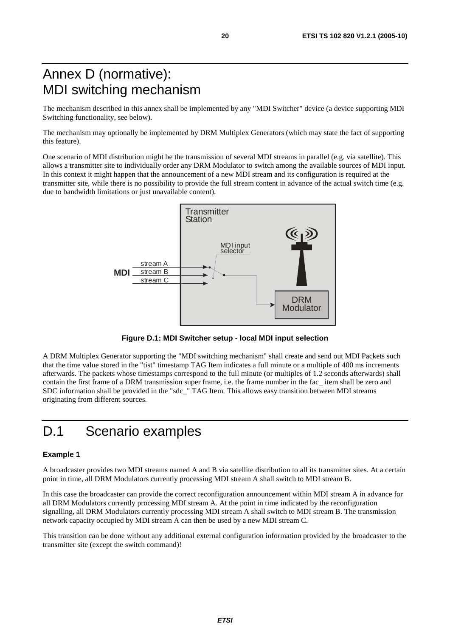# Annex D (normative): MDI switching mechanism

The mechanism described in this annex shall be implemented by any "MDI Switcher" device (a device supporting MDI Switching functionality, see below).

The mechanism may optionally be implemented by DRM Multiplex Generators (which may state the fact of supporting this feature).

One scenario of MDI distribution might be the transmission of several MDI streams in parallel (e.g. via satellite). This allows a transmitter site to individually order any DRM Modulator to switch among the available sources of MDI input. In this context it might happen that the announcement of a new MDI stream and its configuration is required at the transmitter site, while there is no possibility to provide the full stream content in advance of the actual switch time (e.g. due to bandwidth limitations or just unavailable content).



**Figure D.1: MDI Switcher setup - local MDI input selection** 

A DRM Multiplex Generator supporting the "MDI switching mechanism" shall create and send out MDI Packets such that the time value stored in the "tist" timestamp TAG Item indicates a full minute or a multiple of 400 ms increments afterwards. The packets whose timestamps correspond to the full minute (or multiples of 1.2 seconds afterwards) shall contain the first frame of a DRM transmission super frame, i.e. the frame number in the fac\_ item shall be zero and SDC information shall be provided in the "sdc\_" TAG Item. This allows easy transition between MDI streams originating from different sources.

## D.1 Scenario examples

#### **Example 1**

A broadcaster provides two MDI streams named A and B via satellite distribution to all its transmitter sites. At a certain point in time, all DRM Modulators currently processing MDI stream A shall switch to MDI stream B.

In this case the broadcaster can provide the correct reconfiguration announcement within MDI stream A in advance for all DRM Modulators currently processing MDI stream A. At the point in time indicated by the reconfiguration signalling, all DRM Modulators currently processing MDI stream A shall switch to MDI stream B. The transmission network capacity occupied by MDI stream A can then be used by a new MDI stream C.

This transition can be done without any additional external configuration information provided by the broadcaster to the transmitter site (except the switch command)!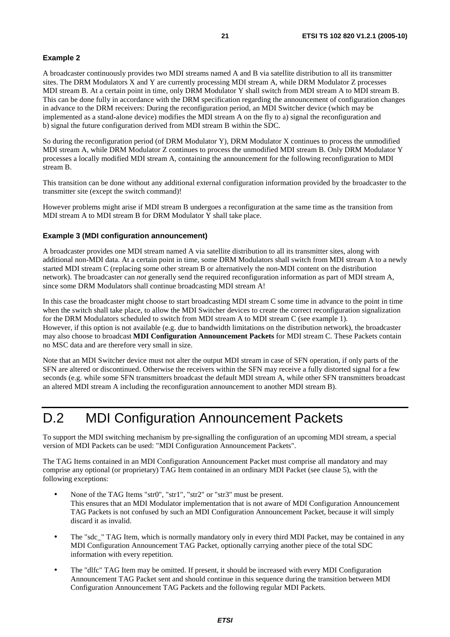#### **Example 2**

A broadcaster continuously provides two MDI streams named A and B via satellite distribution to all its transmitter sites. The DRM Modulators X and Y are currently processing MDI stream A, while DRM Modulator Z processes MDI stream B. At a certain point in time, only DRM Modulator Y shall switch from MDI stream A to MDI stream B. This can be done fully in accordance with the DRM specification regarding the announcement of configuration changes in advance to the DRM receivers: During the reconfiguration period, an MDI Switcher device (which may be implemented as a stand-alone device) modifies the MDI stream A on the fly to a) signal the reconfiguration and b) signal the future configuration derived from MDI stream B within the SDC.

So during the reconfiguration period (of DRM Modulator Y), DRM Modulator X continues to process the unmodified MDI stream A, while DRM Modulator Z continues to process the unmodified MDI stream B. Only DRM Modulator Y processes a locally modified MDI stream A, containing the announcement for the following reconfiguration to MDI stream B.

This transition can be done without any additional external configuration information provided by the broadcaster to the transmitter site (except the switch command)!

However problems might arise if MDI stream B undergoes a reconfiguration at the same time as the transition from MDI stream A to MDI stream B for DRM Modulator Y shall take place.

#### **Example 3 (MDI configuration announcement)**

A broadcaster provides one MDI stream named A via satellite distribution to all its transmitter sites, along with additional non-MDI data. At a certain point in time, some DRM Modulators shall switch from MDI stream A to a newly started MDI stream C (replacing some other stream B or alternatively the non-MDI content on the distribution network). The broadcaster can *not* generally send the required reconfiguration information as part of MDI stream A, since some DRM Modulators shall continue broadcasting MDI stream A!

In this case the broadcaster might choose to start broadcasting MDI stream C some time in advance to the point in time when the switch shall take place, to allow the MDI Switcher devices to create the correct reconfiguration signalization for the DRM Modulators scheduled to switch from MDI stream A to MDI stream C (see example 1). However, if this option is not available (e.g. due to bandwidth limitations on the distribution network), the broadcaster may also choose to broadcast **MDI Configuration Announcement Packets** for MDI stream C. These Packets contain no MSC data and are therefore very small in size.

Note that an MDI Switcher device must not alter the output MDI stream in case of SFN operation, if only parts of the SFN are altered or discontinued. Otherwise the receivers within the SFN may receive a fully distorted signal for a few seconds (e.g. while some SFN transmitters broadcast the default MDI stream A, while other SFN transmitters broadcast an altered MDI stream A including the reconfiguration announcement to another MDI stream B).

### D.2 MDI Configuration Announcement Packets

To support the MDI switching mechanism by pre-signalling the configuration of an upcoming MDI stream, a special version of MDI Packets can be used: "MDI Configuration Announcement Packets".

The TAG Items contained in an MDI Configuration Announcement Packet must comprise all mandatory and may comprise any optional (or proprietary) TAG Item contained in an ordinary MDI Packet (see clause 5), with the following exceptions:

- None of the TAG Items "str0", "str1", "str2" or "str3" must be present. This ensures that an MDI Modulator implementation that is not aware of MDI Configuration Announcement TAG Packets is not confused by such an MDI Configuration Announcement Packet, because it will simply discard it as invalid.
- The "sdc." TAG Item, which is normally mandatory only in every third MDI Packet, may be contained in any MDI Configuration Announcement TAG Packet, optionally carrying another piece of the total SDC information with every repetition.
- The "dlfc" TAG Item may be omitted. If present, it should be increased with every MDI Configuration Announcement TAG Packet sent and should continue in this sequence during the transition between MDI Configuration Announcement TAG Packets and the following regular MDI Packets.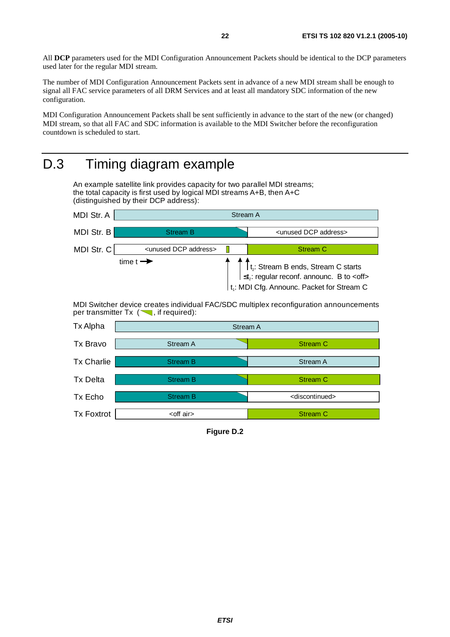All **DCP** parameters used for the MDI Configuration Announcement Packets should be identical to the DCP parameters used later for the regular MDI stream.

The number of MDI Configuration Announcement Packets sent in advance of a new MDI stream shall be enough to signal all FAC service parameters of all DRM Services and at least all mandatory SDC information of the new configuration.

MDI Configuration Announcement Packets shall be sent sufficiently in advance to the start of the new (or changed) MDI stream, so that all FAC and SDC information is available to the MDI Switcher before the reconfiguration countdown is scheduled to start.

# D.3 Timing diagram example

An example satellite link provides capacity for two parallel MDI streams; the total capacity is first used by logical MDI streams A+B, then A+C (distinguished by their DCP address):



MDI Switcher device creates individual FAC/SDC multiplex reconfiguration announcements per transmitter  $Tx \, (\nabla, \text{if required})$ :

| Tx Alpha          | Stream A           |                               |
|-------------------|--------------------|-------------------------------|
| Tx Bravo          | Stream A           | <b>Stream C</b>               |
| <b>Tx Charlie</b> | <b>Stream B</b>    | Stream A                      |
| <b>Tx Delta</b>   | <b>Stream B</b>    | Stream C                      |
| Tx Echo           | <b>Stream B</b>    | <discontinued></discontinued> |
| <b>Tx Foxtrot</b> | <off air=""></off> | <b>Stream C</b>               |

**Figure D.2**